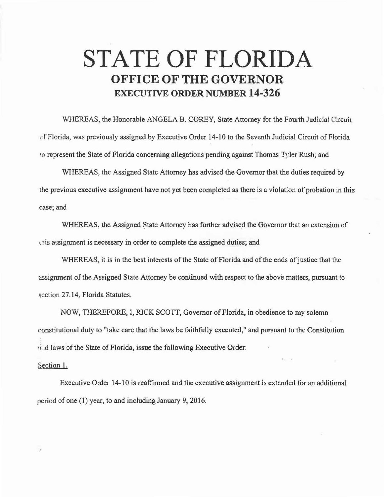## **STATE OF FLORIDA OFFICE OF THE GOVERNOR EXECUTIVE ORDER NUMBER 14-326**

WHEREAS, the Honorable ANGELA B. COREY, State Attorney for the Fourth Judicial Circuit of Florida, was previously assigned by Executive Order 14-10 to the Seventh Judicial Circuit of Florida '(•represent the State of Florida concerning allegations pending against Thomas Tyler Rush; and

WHEREAS, the Assigned State Attorney has advised the Governor that the duties required by the previous executive assignment have not yet been completed as there is a violation of probation in this case; and

WHEREAS, the Assigned State Attorney has further advised the Governor that an extension of this assignment is necessary in order to complete the assigned duties; and

WHEREAS, it is in the best interests of the State of Florida and of the ends of justice that the assignment of the Assigned State Attorney be continued with respect to the above matters, pursuant to section 27.14, Florida Statutes.

NOW, THEREFORE, I, RICK SCOTT, Governor of Florida, in obedience to my solemn constitutional duty to "take care that the laws be faithfully executed," and pursuant to the Constitution :i:.d laws of the State of Florida, issue the following Executive Order:

## Section 1.

. •

Executive Order 14-10 is reaffirmed and the executive assignment is extended for an additional period of one (1) year, to and including January 9, 2016.